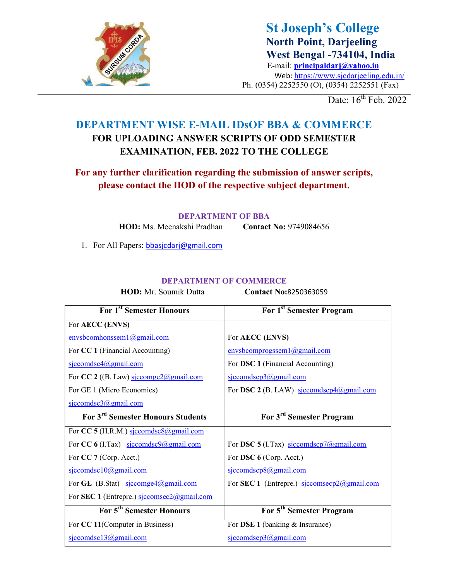

St Joseph's College North Point, Darjeeling West Bengal -734104, India E-mail: principaldarj@yahoo.in Web: https://www.sjcdarjeeling.edu.in/ Ph. (0354) 2252550 (O), (0354) 2252551 (Fax)

Date: 16<sup>th</sup> Feb. 2022

## DEPARTMENT WISE E-MAIL IDsOF BBA & COMMERCE FOR UPLOADING ANSWER SCRIPTS OF ODD SEMESTER EXAMINATION, FEB. 2022 TO THE COLLEGE

For any further clarification regarding the submission of answer scripts, please contact the HOD of the respective subject department.

#### DEPARTMENT OF BBA

HOD: Ms. Meenakshi Pradhan Contact No: 9749084656

1. For All Papers: bbasjcdarj@gmail.com

#### DEPARTMENT OF COMMERCE

HOD: Mr. Soumik Dutta Contact No:8250363059

| For 1 <sup>st</sup> Semester Honours                                | For 1 <sup>st</sup> Semester Program        |
|---------------------------------------------------------------------|---------------------------------------------|
| For AECC (ENVS)                                                     |                                             |
| envsbcomhonssem1@gmail.com                                          | For AECC (ENVS)                             |
| For CC 1 (Financial Accounting)                                     | envsbcomprogssem1@gmail.com                 |
| sjccomdsc4@gmail.com                                                | For DSC 1 (Financial Accounting)            |
| For CC 2 ((B. Law) $\frac{\text{siccompe2}(a) \text{gmail.com}}{a}$ | $s$ jccomdscp3@gmail.com                    |
| For GE 1 (Micro Economics)                                          | For DSC 2 (B. LAW) sjccomdscp4@gmail.com    |
| $s$ jccomdsc $3$ @gmail.com                                         |                                             |
| For 3 <sup>rd</sup> Semester Honours Students                       | For 3 <sup>rd</sup> Semester Program        |
| For CC 5 (H.R.M.) sjccomdsc8@gmail.com                              |                                             |
| For CC 6 (I.Tax) siccomdsc9@gmail.com                               | For DSC 5 (I.Tax) sjccomdscp7@gmail.com     |
| For CC 7 (Corp. Acct.)                                              | For DSC 6 (Corp. Acct.)                     |
| sjccomdsc10@gmail.com                                               | sjccomdscp8@gmail.com                       |
| For GE (B.Stat) $\frac{\text{siccompe4}(a)\text{gmail.com}}{2}$     | For SEC 1 (Entrepre.) siccomsecp2@gmail.com |
| For SEC 1 (Entrepre.) sjccomsec2@gmail.com                          |                                             |
| For 5 <sup>th</sup> Semester Honours                                | For 5 <sup>th</sup> Semester Program        |
| For CC 11(Computer in Business)                                     | For DSE 1 (banking & Insurance)             |
| $s$ jccomdsc $13$ @gmail.com                                        | $s$ jccomdsep $3$ @gmail.com                |